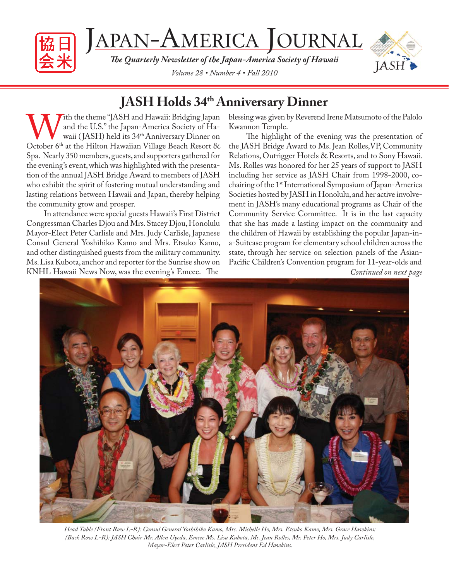

JAPAN-AMERICA JOURNAL

**The Quarterly Newsletter of the Japan-America Society of Hawaii** *Volume 28 • Number 4 • Fall 2010*



# **JASH Holds 34th Anniversary Dinner**

With the theme "JASH and Hawaii: Bridging Japan<br>and the U.S." the Japan-America Society of Ha-<br>October 6<sup>th</sup> at the Hilton Hawaiian Village Beach Resort & and the U.S." the Japan-America Society of Hawaii (JASH) held its 34<sup>th</sup> Anniversary Dinner on Spa. Nearly 350 members, guests, and supporters gathered for the evening's event, which was highlighted with the presentation of the annual JASH Bridge Award to members of JASH who exhibit the spirit of fostering mutual understanding and lasting relations between Hawaii and Japan, thereby helping the community grow and prosper.

In attendance were special guests Hawaii's First District Congressman Charles Djou and Mrs. Stacey Djou, Honolulu Mayor-Elect Peter Carlisle and Mrs. Judy Carlisle, Japanese Consul General Yoshihiko Kamo and Mrs. Etsuko Kamo, and other distinguished guests from the military community. Ms. Lisa Kubota, anchor and reporter for the Sunrise show on KNHL Hawaii News Now, was the evening's Emcee. The

blessing was given by Reverend Irene Matsumoto of the Palolo Kwannon Temple.

The highlight of the evening was the presentation of the JASH Bridge Award to Ms. Jean Rolles,VP, Community Relations, Outrigger Hotels & Resorts, and to Sony Hawaii. Ms. Rolles was honored for her 25 years of support to JASH including her service as JASH Chair from 1998-2000, cochairing of the 1<sup>st</sup> International Symposium of Japan-America Societies hosted by JASH in Honolulu, and her active involvement in JASH's many educational programs as Chair of the Community Service Committee. It is in the last capacity that she has made a lasting impact on the community and the children of Hawaii by establishing the popular Japan-ina-Suitcase program for elementary school children across the state, through her service on selection panels of the Asian-Pacific Children's Convention program for 11-year-olds and *Continued on next page*



*Head Table (Front Row L-R): Consul General Yoshihiko Kamo, Mrs. Michelle Ho, Mrs. Etsuko Kamo, Mrs. Grace Hawkins; (Back Row L-R): JASH Chair Mr. Allen Uyeda, Emcee Ms. Lisa Kubota, Ms. Jean Rolles, Mr. Peter Ho, Mrs. Judy Carlisle, Mayor-Elect Peter Carlisle, JASH President Ed Hawkins.*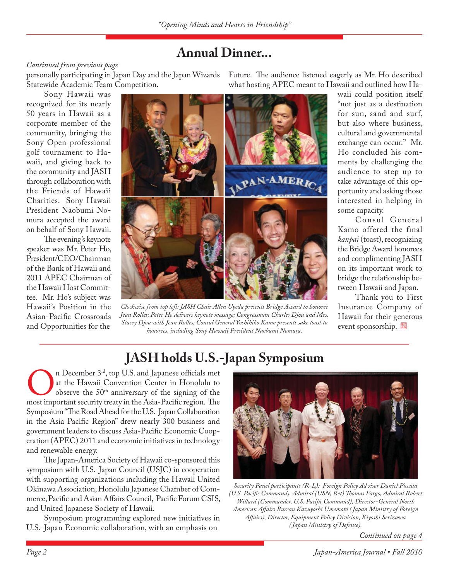## **Annual Dinner...**

### *Continued from previous page*

Statewide Academic Team Competition.

Sony Hawaii was recognized for its nearly 50 years in Hawaii as a corporate member of the community, bringing the Sony Open professional golf tournament to Hawaii, and giving back to the community and JASH through collaboration with the Friends of Hawaii Charities. Sony Hawaii President Naobumi Nomura accepted the award on behalf of Sony Hawaii.

The evening's keynote speaker was Mr. Peter Ho, President/CEO/Chairman of the Bank of Hawaii and 2011 APEC Chairman of the Hawaii Host Committee. Mr. Ho's subject was Hawaii's Position in the Asian-Pacific Crossroads and Opportunities for the



*Clockwise from top left: JASH Chair Allen Uyeda presents Bridge Award to honoree Jean Rolles; Peter Ho delivers keynote message; Congressman Charles Djou and Mrs. Stacey Djou with Jean Rolles; Consul General Yoshihiko Kamo presents sake toast to honorees, including Sony Hawaii President Naobumi Nomura.*

personally participating in Japan Day and the Japan Wizards – Future. The audience listened eagerly as Mr. Ho described what hosting APEC meant to Hawaii and outlined how Ha-

> waii could position itself "not just as a destination for sun, sand and surf, but also where business, cultural and governmental exchange can occur." Mr. Ho concluded his comments by challenging the audience to step up to take advantage of this opportunity and asking those interested in helping in some capacity.

> Consul General Kamo offered the final *kanpai* (toast), recognizing the Bridge Award honorees and complimenting JASH on its important work to bridge the relationship between Hawaii and Japan.

> Thank you to First Insurance Company of Hawaii for their generous event sponsorship.

# **JASH holds U.S.-Japan Symposium**

**On** December 3<sup>rd</sup>, top U.S. and Japanese officials met at the Hawaii Convention Center in Honolulu to observe the 50<sup>th</sup> anniversary of the signing of the most important security treaty in the Asia-Pacific region. The at the Hawaii Convention Center in Honolulu to observe the  $50<sup>th</sup>$  anniversary of the signing of the Symposium "The Road Ahead for the U.S.-Japan Collaboration in the Asia Pacific Region" drew nearly 300 business and government leaders to discuss Asia-Pacific Economic Cooperation (APEC) 2011 and economic initiatives in technology and renewable energy.

The Japan-America Society of Hawaii co-sponsored this symposium with U.S.-Japan Council (USJC) in cooperation with supporting organizations including the Hawaii United Okinawa Association, Honolulu Japanese Chamber of Commerce, Pacific and Asian Affairs Council, Pacific Forum CSIS, and United Japanese Society of Hawaii.

Symposium programming explored new initiatives in U.S.-Japan Economic collaboration, with an emphasis on



*Security Panel participants (R-L): Foreign Policy Advisor Daniel Piccuta (U.S. Pacifi c Command), Admiral (USN, Ret) Th omas Fargo, Admiral Robert Willard (Commander, U.S. Pacifi c Command), Director-General North American Aff airs Bureau Kazuyoshi Umemoto ( Japan Ministry of Foreign Aff airs), Director, Equipment Policy Division, Kiyoshi Serizawa ( Japan Ministry of Defense).*

*Continued on page 4*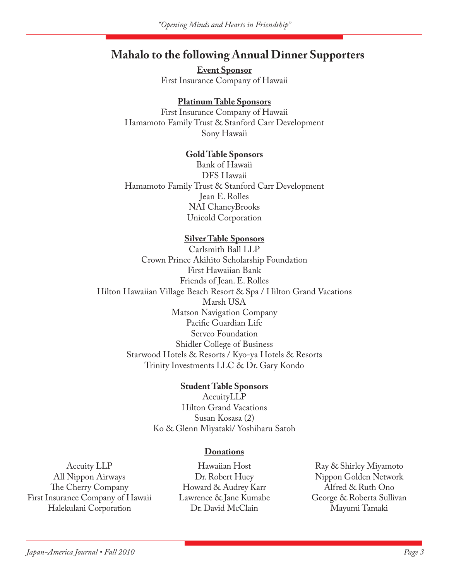## **Mahalo to the following Annual Dinner Supporters**

**Event Sponsor** First Insurance Company of Hawaii

### **Platinum Table Sponsors**

First Insurance Company of Hawaii Hamamoto Family Trust & Stanford Carr Development Sony Hawaii

### **Gold Table Sponsors**

Bank of Hawaii DFS Hawaii Hamamoto Family Trust & Stanford Carr Development Jean E. Rolles NAI ChaneyBrooks Unicold Corporation

### **Silver Table Sponsors**

Carlsmith Ball LLP Crown Prince Akihito Scholarship Foundation First Hawaiian Bank Friends of Jean. E. Rolles Hilton Hawaiian Village Beach Resort & Spa / Hilton Grand Vacations Marsh USA Matson Navigation Company Pacific Guardian Life Servco Foundation Shidler College of Business Starwood Hotels & Resorts / Kyo-ya Hotels & Resorts Trinity Investments LLC & Dr. Gary Kondo

### **Student Table Sponsors**

AccuityLLP Hilton Grand Vacations Susan Kosasa (2) Ko & Glenn Miyataki/ Yoshiharu Satoh

#### **Donations**

Accuity LLP All Nippon Airways The Cherry Company First Insurance Company of Hawaii Halekulani Corporation

Hawaiian Host Dr. Robert Huey Howard & Audrey Karr Lawrence & Jane Kumabe Dr. David McClain

Ray & Shirley Miyamoto Nippon Golden Network Alfred & Ruth Ono George & Roberta Sullivan Mayumi Tamaki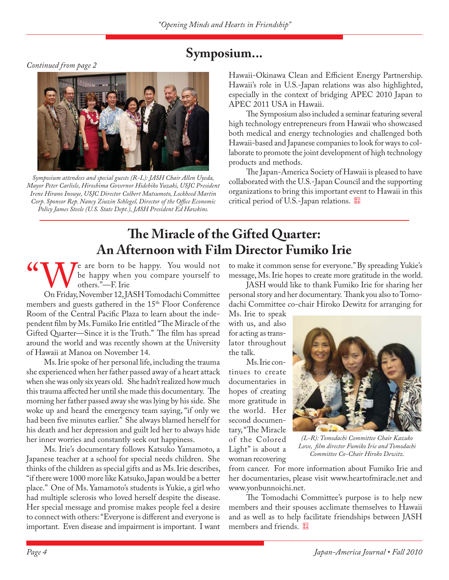*Continued from page 2*



*Symposium attendees and special guests (R-L): JASH Chair Allen Uyeda, Mayor Peter Carlisle, Hiroshima Governor Hidehiko Yuzaki, USJC President Irene Hirano Inouye, USJC Director Colbert Matsumoto, Lockheed Martin Corp. Sponsor Rep. Nancy Ziuzin Schlegel, Director of the Office Economic Policy James Steele (U.S. State Dept.), JASH President Ed Hawkins.*

# **Symposium...**

Hawaii-Okinawa Clean and Efficient Energy Partnership. Hawaii's role in U.S.-Japan relations was also highlighted, especially in the context of bridging APEC 2010 Japan to APEC 2011 USA in Hawaii.

The Symposium also included a seminar featuring several high technology entrepreneurs from Hawaii who showcased both medical and energy technologies and challenged both Hawaii-based and Japanese companies to look for ways to collaborate to promote the joint development of high technology products and methods.

The Japan-America Society of Hawaii is pleased to have collaborated with the U.S.-Japan Council and the supporting organizations to bring this important event to Hawaii in this critical period of U.S.-Japan relations.

# **The Miracle of the Gifted Quarter: An Afternoon with Film Director Fumiko Irie**

**CONT** of the happy when you compare yourself to others."—F. Irie<br>On Friday, November 12, JASH Tomodachi Committee be happy when you compare yourself to others."—F. Irie

members and guests gathered in the 15<sup>th</sup> Floor Conference Room of the Central Pacific Plaza to learn about the independent film by Ms. Fumiko Irie entitled "The Miracle of the Gifted Quarter—Since it is the Truth." The film has spread around the world and was recently shown at the University of Hawaii at Manoa on November 14.

Ms. Irie spoke of her personal life, including the trauma she experienced when her father passed away of a heart attack when she was only six years old. She hadn't realized how much this trauma affected her until she made this documentary. The morning her father passed away she was lying by his side. She woke up and heard the emergency team saying, "if only we had been five minutes earlier." She always blamed herself for his death and her depression and guilt led her to always hide her inner worries and constantly seek out happiness.

Ms. Irie's documentary follows Katsuko Yamamoto, a Japanese teacher at a school for special needs children. She thinks of the children as special gifts and as Ms. Irie describes, "if there were 1000 more like Katsuko, Japan would be a better place." One of Ms. Yamamoto's students is Yukie, a girl who had multiple sclerosis who loved herself despite the disease. Her special message and promise makes people feel a desire to connect with others: "Everyone is different and everyone is important. Even disease and impairment is important. I want

to make it common sense for everyone." By spreading Yukie's message, Ms. Irie hopes to create more gratitude in the world.

JASH would like to thank Fumiko Irie for sharing her personal story and her documentary. Thank you also to Tomodachi Committee co-chair Hiroko Dewitz for arranging for

Ms. Irie to speak with us, and also for acting as translator throughout the talk.

Ms. Irie continues to create documentaries in hopes of creating more gratitude in the world. Her second documentary, "The Miracle of the Colored Light" is about a woman recovering



*(L-R): Tomodachi Committee Chair Kazuko Love, fi lm director Fumiko Irie and Tomodachi Committee Co-Chair Hiroko Dewitz.*

from cancer. For more information about Fumiko Irie and her documentaries, please visit www.heartofmiracle.net and www.yonbunnoichi.net.

The Tomodachi Committee's purpose is to help new members and their spouses acclimate themselves to Hawaii and as well as to help facilitate friendships between JASH members and friends.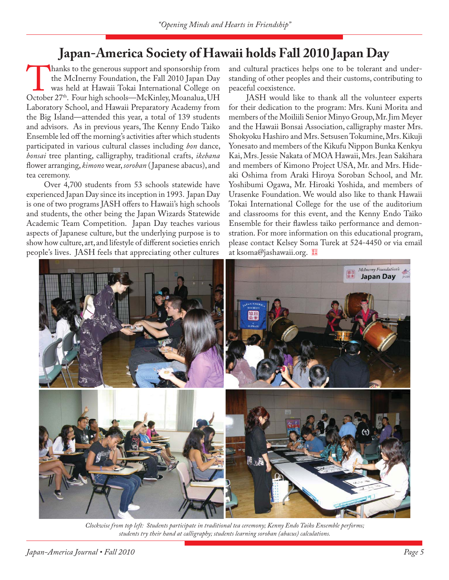# **Japan-America Society of Hawaii holds Fall 2010 Japan Day**

hanks to the generous support and sponsorship from the McInerny Foundation, the Fall 2010 Japan Day was held at Hawaii Tokai International College on October 27<sup>th</sup>. Four high schools—McKinley, Moanalua, UH the McInerny Foundation, the Fall 2010 Japan Day was held at Hawaii Tokai International College on Laboratory School, and Hawaii Preparatory Academy from the Big Island—attended this year, a total of 139 students and advisors. As in previous years, The Kenny Endo Taiko Ensemble led off the morning's activities after which students participated in various cultural classes including *bon* dance, *bonsai* tree planting, calligraphy, traditional crafts, *ikebana*  flower arranging, *kimono* wear, *soroban* (Japanese abacus), and tea ceremony.

Over 4,700 students from 53 schools statewide have experienced Japan Day since its inception in 1993. Japan Day is one of two programs JASH offers to Hawaii's high schools and students, the other being the Japan Wizards Statewide Academic Team Competition. Japan Day teaches various aspects of Japanese culture, but the underlying purpose is to show how culture, art, and lifestyle of different societies enrich people's lives. JASH feels that appreciating other cultures

and cultural practices helps one to be tolerant and understanding of other peoples and their customs, contributing to peaceful coexistence.

JASH would like to thank all the volunteer experts for their dedication to the program: Mrs. Kuni Morita and members of the Moiliili Senior Minyo Group, Mr. Jim Meyer and the Hawaii Bonsai Association, calligraphy master Mrs. Shokyoku Hashiro and Mrs. Setsusen Tokumine, Mrs. Kikuji Yonesato and members of the Kikufu Nippon Bunka Kenkyu Kai, Mrs. Jessie Nakata of MOA Hawaii, Mrs. Jean Sakihara and members of Kimono Project USA, Mr. and Mrs. Hideaki Oshima from Araki Hiroya Soroban School, and Mr. Yoshibumi Ogawa, Mr. Hiroaki Yoshida, and members of Urasenke Foundation. We would also like to thank Hawaii Tokai International College for the use of the auditorium and classrooms for this event, and the Kenny Endo Taiko Ensemble for their flawless taiko performance and demonstration. For more information on this educational program, please contact Kelsey Soma Turek at 524-4450 or via email at ksoma@jashawaii.org.



*Clockwise from top left: Students participate in traditional tea ceremony; Kenny Endo Taiko Ensemble performs; students try their hand at calligraphy; students learning soroban (abacus) calculations.*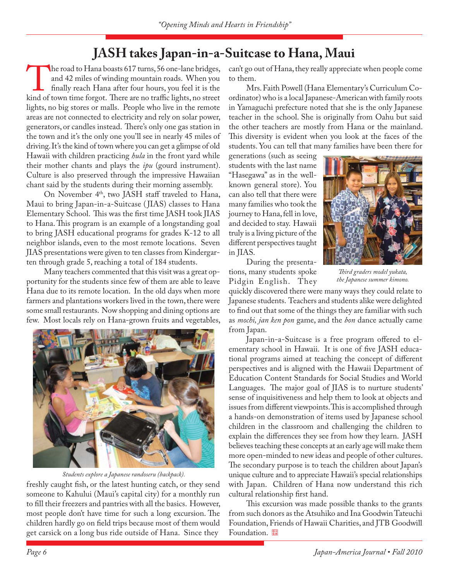## **JASH takes Japan-in-a-Suitcase to Hana, Maui**

The road to Hana boasts 617 turns, 56 one-lane bridges, and 42 miles of winding mountain roads. When you finally reach Hana after four hours, you feel it is the kind of town time forgot. There are no traffic lights, no str and 42 miles of winding mountain roads. When you finally reach Hana after four hours, you feel it is the lights, no big stores or malls. People who live in the remote areas are not connected to electricity and rely on solar power, generators, or candles instead. There's only one gas station in the town and it's the only one you'll see in nearly 45 miles of driving. It's the kind of town where you can get a glimpse of old Hawaii with children practicing *hula* in the front yard while their mother chants and plays the *ipu* (gourd instrument). Culture is also preserved through the impressive Hawaiian chant said by the students during their morning assembly.

On November 4<sup>th</sup>, two JASH staff traveled to Hana, Maui to bring Japan-in-a-Suitcase ( JIAS) classes to Hana Elementary School. This was the first time JASH took JIAS to Hana. This program is an example of a longstanding goal to bring JASH educational programs for grades K-12 to all neighbor islands, even to the most remote locations. Seven JIAS presentations were given to ten classes from Kindergarten through grade 5, reaching a total of 184 students.

Many teachers commented that this visit was a great opportunity for the students since few of them are able to leave Hana due to its remote location. In the old days when more farmers and plantations workers lived in the town, there were some small restaurants. Now shopping and dining options are few. Most locals rely on Hana-grown fruits and vegetables,



*Students explore a Japanese randoseru (backpack).*

freshly caught fish, or the latest hunting catch, or they send someone to Kahului (Maui's capital city) for a monthly run to fill their freezers and pantries with all the basics. However, most people don't have time for such a long excursion. The children hardly go on field trips because most of them would get carsick on a long bus ride outside of Hana. Since they

can't go out of Hana, they really appreciate when people come to them.

Mrs. Faith Powell (Hana Elementary's Curriculum Coordinator) who is a local Japanese-American with family roots in Yamaguchi prefecture noted that she is the only Japanese teacher in the school. She is originally from Oahu but said the other teachers are mostly from Hana or the mainland. This diversity is evident when you look at the faces of the students. You can tell that many families have been there for

generations (such as seeing students with the last name "Hasegawa" as in the wellknown general store). You can also tell that there were many families who took the journey to Hana, fell in love, and decided to stay. Hawaii truly is a living picture of the different perspectives taught in JIAS.

During the presentations, many students spoke Pidgin English. They



*Th ird graders model yukata, the Japanese summer kimono.*

quickly discovered there were many ways they could relate to Japanese students. Teachers and students alike were delighted to find out that some of the things they are familiar with such as *mochi, jan ken pon* game, and the *bon* dance actually came from Japan.

Japan-in-a-Suitcase is a free program offered to elementary school in Hawaii. It is one of five JASH educational programs aimed at teaching the concept of different perspectives and is aligned with the Hawaii Department of Education Content Standards for Social Studies and World Languages. The major goal of JIAS is to nurture students' sense of inquisitiveness and help them to look at objects and issues from different viewpoints. This is accomplished through a hands-on demonstration of items used by Japanese school children in the classroom and challenging the children to explain the differences they see from how they learn. JASH believes teaching these concepts at an early age will make them more open-minded to new ideas and people of other cultures. The secondary purpose is to teach the children about Japan's unique culture and to appreciate Hawaii's special relationships with Japan. Children of Hana now understand this rich cultural relationship first hand.

This excursion was made possible thanks to the grants from such donors as the Atsuhiko and Ina Goodwin Tateuchi Foundation, Friends of Hawaii Charities, and JTB Goodwill Foundation.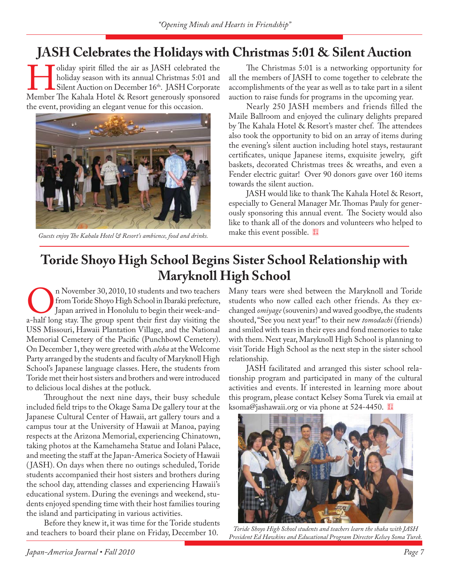# **JASH Celebrates the Holidays with Christmas 5:01 & Silent Auction**

Indiday spirit filled the air as JASH celebrated the holiday season with its annual Christmas 5:01 and Silent Auction on December 16<sup>th</sup>. JASH Corporate Member The Kahala Hotel & Resort generously sponsored holiday season with its annual Christmas 5:01 and Silent Auction on December 16th. JASH Corporate the event, providing an elegant venue for this occasion.



Guests enjoy The Kahala Hotel & Resort's ambience, food and drinks. **Fig. 1. Solution Property** Constants and this event possible. <sup>[68]</sup>

The Christmas 5:01 is a networking opportunity for all the members of JASH to come together to celebrate the accomplishments of the year as well as to take part in a silent auction to raise funds for programs in the upcoming year.

Nearly 250 JASH members and friends filled the Maile Ballroom and enjoyed the culinary delights prepared by The Kahala Hotel & Resort's master chef. The attendees also took the opportunity to bid on an array of items during the evening's silent auction including hotel stays, restaurant certificates, unique Japanese items, exquisite jewelry, gift baskets, decorated Christmas trees & wreaths, and even a Fender electric guitar! Over 90 donors gave over 160 items towards the silent auction.

JASH would like to thank The Kahala Hotel  $\&$  Resort, especially to General Manager Mr. Thomas Pauly for generously sponsoring this annual event. The Society would also like to thank all of the donors and volunteers who helped to

# **Toride Shoyo High School Begins Sister School Relationship with Maryknoll High School**

On November 30, 2010, 10 students and two teachers<br>
from Toride Shoyo High School in Ibaraki prefecture,<br>
a-half long stay. The group spent their first day visiting the from Toride Shoyo High School in Ibaraki prefecture, Japan arrived in Honolulu to begin their week-and-USS Missouri, Hawaii Plantation Village, and the National Memorial Cemetery of the Pacific (Punchbowl Cemetery). On December 1, they were greeted with *aloha* at the Welcome Party arranged by the students and faculty of Maryknoll High School's Japanese language classes. Here, the students from Toride met their host sisters and brothers and were introduced to delicious local dishes at the potluck.

Throughout the next nine days, their busy schedule included field trips to the Okage Sama De gallery tour at the Japanese Cultural Center of Hawaii, art gallery tours and a campus tour at the University of Hawaii at Manoa, paying respects at the Arizona Memorial, experiencing Chinatown, taking photos at the Kamehameha Statue and Iolani Palace, and meeting the staff at the Japan-America Society of Hawaii ( JASH). On days when there no outings scheduled, Toride students accompanied their host sisters and brothers during the school day, attending classes and experiencing Hawaii's educational system. During the evenings and weekend, students enjoyed spending time with their host families touring the island and participating in various activities.

Before they knew it, it was time for the Toride students and teachers to board their plane on Friday, December 10.

Many tears were shed between the Maryknoll and Toride students who now called each other friends. As they exchanged *omiyage* (souvenirs) and waved goodbye, the students shouted, "See you next year!" to their new *tomodachi* (friends) and smiled with tears in their eyes and fond memories to take with them. Next year, Maryknoll High School is planning to visit Toride High School as the next step in the sister school relationship.

JASH facilitated and arranged this sister school relationship program and participated in many of the cultural activities and events. If interested in learning more about this program, please contact Kelsey Soma Turek via email at ksoma@jashawaii.org or via phone at 524-4450.



*Toride Shoyo High School students and teachers learn the shaka with JASH President Ed Hawkins and Educational Program Director Kelsey Soma Turek.*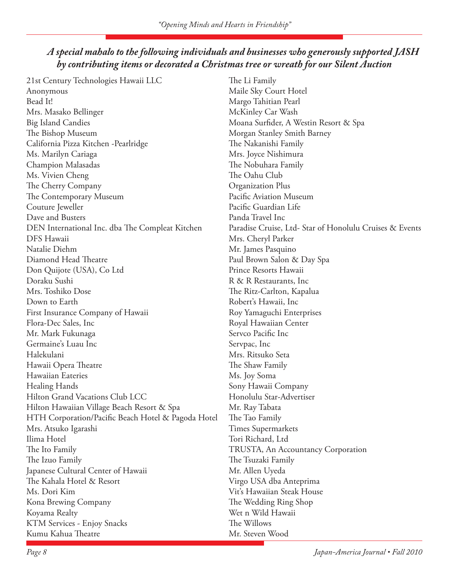## *A special mahalo to the following individuals and businesses who generously supported JASH by contributing items or decorated a Christmas tree or wreath for our Silent Auction*

21st Century Technologies Hawaii LLC Anonymous Bead It! Mrs. Masako Bellinger Big Island Candies The Bishop Museum California Pizza Kitchen -Pearlridge Ms. Marilyn Cariaga Champion Malasadas Ms. Vivien Cheng The Cherry Company The Contemporary Museum Couture Jeweller Dave and Busters DEN International Inc. dba The Compleat Kitchen DFS Hawaii Natalie Diehm Diamond Head Theatre Don Quijote (USA), Co Ltd Doraku Sushi Mrs. Toshiko Dose Down to Earth First Insurance Company of Hawaii Flora-Dec Sales, Inc Mr. Mark Fukunaga Germaine's Luau Inc Halekulani Hawaii Opera Theatre Hawaiian Eateries Healing Hands Hilton Grand Vacations Club LCC Hilton Hawaiian Village Beach Resort & Spa HTH Corporation/Pacific Beach Hotel & Pagoda Hotel Mrs. Atsuko Igarashi Ilima Hotel The Ito Family The Izuo Family Japanese Cultural Center of Hawaii The Kahala Hotel & Resort Ms. Dori Kim Kona Brewing Company Koyama Realty KTM Services - Enjoy Snacks Kumu Kahua Theatre

The Li Family Maile Sky Court Hotel Margo Tahitian Pearl McKinley Car Wash Moana Surfider, A Westin Resort & Spa Morgan Stanley Smith Barney The Nakanishi Family Mrs. Joyce Nishimura The Nobuhara Family The Oahu Club Organization Plus Pacific Aviation Museum Pacific Guardian Life Panda Travel Inc Paradise Cruise, Ltd- Star of Honolulu Cruises & Events Mrs. Cheryl Parker Mr. James Pasquino Paul Brown Salon & Day Spa Prince Resorts Hawaii R & R Restaurants, Inc The Ritz-Carlton, Kapalua Robert's Hawaii, Inc Roy Yamaguchi Enterprises Royal Hawaiian Center Servco Pacific Inc Servpac, Inc Mrs. Ritsuko Seta The Shaw Family Ms. Joy Soma Sony Hawaii Company Honolulu Star-Advertiser Mr. Ray Tabata The Tao Family Times Supermarkets Tori Richard, Ltd TRUSTA, An Accountancy Corporation The Tsuzaki Family Mr. Allen Uyeda Virgo USA dba Anteprima Vit's Hawaiian Steak House The Wedding Ring Shop Wet n Wild Hawaii The Willows Mr. Steven Wood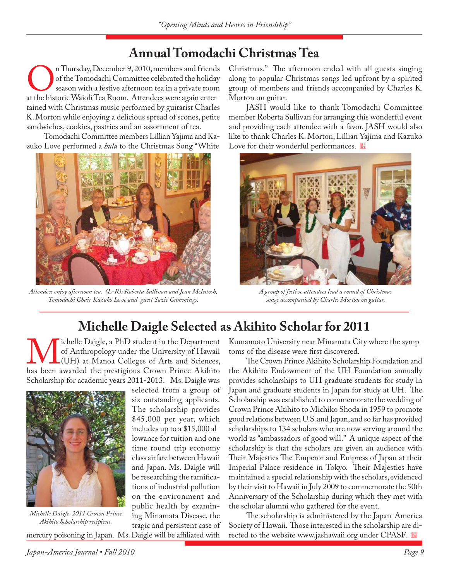# **Annual Tomodachi Christmas Tea**

On Thursday, December 9, 2010, members and friends<br>
of the Tomodachi Committee celebrated the holiday<br>
at the historic Waioli Tea Room. Attendees were again enterof the Tomodachi Committee celebrated the holiday season with a festive afternoon tea in a private room tained with Christmas music performed by guitarist Charles K. Morton while enjoying a delicious spread of scones, petite sandwiches, cookies, pastries and an assortment of tea.

Tomodachi Committee members Lillian Yajima and Kazuko Love performed a *hula* to the Christmas Song "White



*Attendees enjoy afternoon tea. (L-R): Roberta Sullivan and Jean McIntosh, Tomodachi Chair Kazuko Love and guest Suzie Cummings.*

Christmas." The afternoon ended with all guests singing along to popular Christmas songs led upfront by a spirited group of members and friends accompanied by Charles K. Morton on guitar.

JASH would like to thank Tomodachi Committee member Roberta Sullivan for arranging this wonderful event and providing each attendee with a favor. JASH would also like to thank Charles K. Morton, Lillian Yajima and Kazuko Love for their wonderful performances.



*A group of festive attendees lead a round of Christmas songs accompanied by Charles Morton on guitar.*

# **Michelle Daigle Selected as Akihito Scholar for 2011**

Michelle Daigle, a PhD student in the Department<br>
of Anthropology under the University of Hawaii<br>
(UH) at Manoa Colleges of Arts and Sciences,<br>
has been awarded the prestigious Crown Prince Akihito of Anthropology under the University of Hawaii (UH) at Manoa Colleges of Arts and Sciences, Scholarship for academic years 2011-2013. Ms. Daigle was

> selected from a group of six outstanding applicants. The scholarship provides \$45,000 per year, which includes up to a \$15,000 allowance for tuition and one time round trip economy class airfare between Hawaii and Japan. Ms. Daigle will be researching the ramifications of industrial pollution on the environment and public health by examining Minamata Disease, the



*Michelle Daigle, 2011 Crown Prince Akihito Scholarship recipient.*

tragic and persistent case of mercury poisoning in Japan. Ms. Daigle will be affiliated with

Kumamoto University near Minamata City where the symptoms of the disease were first discovered.

The Crown Prince Akihito Scholarship Foundation and the Akihito Endowment of the UH Foundation annually provides scholarships to UH graduate students for study in Japan and graduate students in Japan for study at UH. The Scholarship was established to commemorate the wedding of Crown Prince Akihito to Michiko Shoda in 1959 to promote good relations between U.S. and Japan, and so far has provided scholarships to 134 scholars who are now serving around the world as "ambassadors of good will." A unique aspect of the scholarship is that the scholars are given an audience with Their Majesties The Emperor and Empress of Japan at their Imperial Palace residence in Tokyo. Their Majesties have maintained a special relationship with the scholars, evidenced by their visit to Hawaii in July 2009 to commemorate the 50th Anniversary of the Scholarship during which they met with the scholar alumni who gathered for the event.

The scholarship is administered by the Japan-America Society of Hawaii. Those interested in the scholarship are directed to the website www.jashawaii.org under CPASF.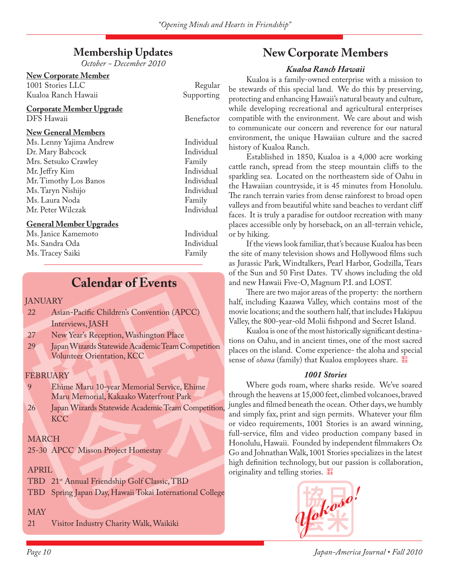## **Membership Updates**

*October - December 2010*

|  | <b>New Corporate Member</b> |  |
|--|-----------------------------|--|
|  |                             |  |

1001 Stories LLC Regular Kualoa Ranch Hawaii

### **Corporate Member Upgrade** DFS Hawaii Benefactor

### **New General Members**

Ms. Lenny Yajima Andrew Individual Dr. Mary Babcock Individual Mrs. Setsuko Crawley Family Mr. Jeff ry Kim Individual Mr. Timothy Los Banos Ms. Taryn Nishijo Individual Ms. Laura Noda Family Mr. Peter Wilczak Individual

### **General Member Upgrades**

Ms. Janice Kamemoto Individual Ms. Sandra Oda Individual Ms. Tracey Saiki Family

## **Calendar of Events**

### **JANUARY**

- 22 Asian-Pacific Children's Convention (APCC) Interviews, JASH
- 27 New Year's Reception, Washington Place
- 29 Japan Wizards Statewide Academic Team Competition Volunteer Orientation, KCC

### FEBRUARY

| $\mathbf{q}$ | Ehime Maru 10-year Memorial Service, Ehime |
|--------------|--------------------------------------------|
|              | Maru Memorial, Kakaako Waterfront Park     |

26 Japan Wizards Statewide Academic Team Competition **KCC** 

### MARCH

25-30 APCC Misson Project Homestay

### APRIL

- TBD 21st Annual Friendship Golf Classic, TBD
- TBD Spring Japan Day, Hawaii Tokai International College

## MAY

21 Visitor Industry Charity Walk, Waikiki

## **New Corporate Members**

### *Kualoa Ranch Hawaii*

Kualoa is a family-owned enterprise with a mission to be stewards of this special land. We do this by preserving, protecting and enhancing Hawaii's natural beauty and culture, while developing recreational and agricultural enterprises compatible with the environment. We care about and wish to communicate our concern and reverence for our natural environment, the unique Hawaiian culture and the sacred history of Kualoa Ranch.

Established in 1850, Kualoa is a 4,000 acre working cattle ranch, spread from the steep mountain cliffs to the sparkling sea. Located on the northeastern side of Oahu in the Hawaiian countryside, it is 45 minutes from Honolulu. The ranch terrain varies from dense rainforest to broad open valleys and from beautiful white sand beaches to verdant cliff faces. It is truly a paradise for outdoor recreation with many places accessible only by horseback, on an all-terrain vehicle, or by hiking.

If the views look familiar, that's because Kualoa has been the site of many television shows and Hollywood films such as Jurassic Park, Windtalkers, Pearl Harbor, Godzilla, Tears of the Sun and 50 First Dates. TV shows including the old and new Hawaii Five-O, Magnum P.I. and LOST.

There are two major areas of the property: the northern half, including Kaaawa Valley, which contains most of the movie locations; and the southern half, that includes Hakipuu Valley, the 800-year-old Molii fishpond and Secret Island.

Kualoa is one of the most historically significant destinations on Oahu, and in ancient times, one of the most sacred places on the island. Come experience- the aloha and special sense of *ohana* (family) that Kualoa employees share.

### *1001 Stories*

Where gods roam, where sharks reside. We've soared through the heavens at 15,000 feet, climbed volcanoes, braved jungles and filmed beneath the ocean. Other days, we humbly and simply fax, print and sign permits. Whatever your film or video requirements, 1001 Stories is an award winning, full-service, film and video production company based in Honolulu, Hawaii. Founded by independent filmmakers Oz Go and Johnathan Walk, 1001 Stories specializes in the latest high definition technology, but our passion is collaboration, originality and telling stories.

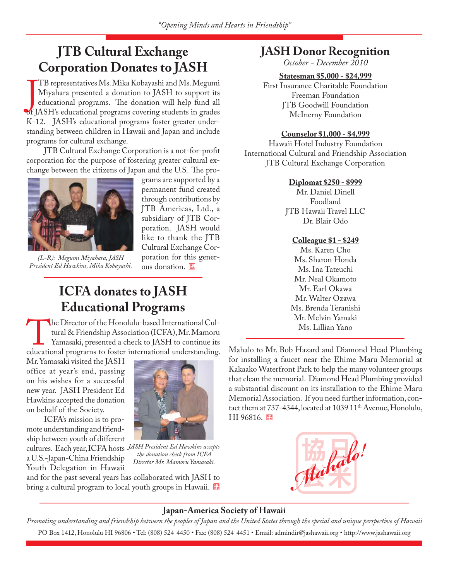# **JTB Cultural Exchange Corporation Donates to JASH**

TB representatives Ms. Mika Kobayashi and Ms. Megumi<br>Miyahara presented a donation to JASH to support its<br>educational programs. The donation will help fund all<br>of JASH's educational programs covering students in grades TB representatives Ms. Mika Kobayashi and Ms. Megumi Miyahara presented a donation to JASH to support its educational programs. The donation will help fund all K-12. JASH's educational programs foster greater understanding between children in Hawaii and Japan and include programs for cultural exchange.

JTB Cultural Exchange Corporation is a not-for-profit corporation for the purpose of fostering greater cultural exchange between the citizens of Japan and the U.S. The pro-



*(L-R): Megumi Miyahara, JASH President Ed Hawkins, Mika Kobayashi.*

grams are supported by a permanent fund created through contributions by JTB Americas, Ltd., a subsidiary of JTB Corporation. JASH would like to thank the JTB Cultural Exchange Corporation for this generous donation.

## **JASH Donor Recognition**

*October - December 2010*

### **Statesman \$5,000 - \$24,999**

First Insurance Charitable Foundation Freeman Foundation JTB Goodwill Foundation McInerny Foundation

#### **Counselor \$1,000 - \$4,999**

Hawaii Hotel Industry Foundation International Cultural and Friendship Association JTB Cultural Exchange Corporation

#### **Diplomat \$250 - \$999**

Mr. Daniel Dinell Foodland JTB Hawaii Travel LLC Dr. Blair Odo

### **Colleague \$1 - \$249**

Ms. Karen Cho Ms. Sharon Honda Ms. Ina Tateuchi Mr. Neal Okamoto Mr. Earl Okawa Mr. Walter Ozawa Ms. Brenda Teranishi Mr. Melvin Yamaki Ms. Lillian Yano

## **ICFA donates to JASH Educational Programs**

The Director of the Honolulu-based International Cultural & Friendship Association (ICFA), Mr. Mamoru<br>
Yamasaki, presented a check to JASH to continue its<br>
educational programs to foster international understanding. tural & Friendship Association (ICFA), Mr. Mamoru Yamasaki, presented a check to JASH to continue its

Mr. Yamasaki visited the JASH office at year's end, passing on his wishes for a successful new year. JASH President Ed Hawkins accepted the donation on behalf of the Society.

ICFA's mission is to promote understanding and friendship between youth of different cultures. Each year, ICFA hosts *JASH President Ed Hawkins accepts*  a U.S.-Japan-China Friendship Youth Delegation in Hawaii



*the donation check from ICFA Director Mr. Mamoru Yamasaki.*

and for the past several years has collaborated with JASH to bring a cultural program to local youth groups in Hawaii. Mahalo to Mr. Bob Hazard and Diamond Head Plumbing for installing a faucet near the Ehime Maru Memorial at Kakaako Waterfront Park to help the many volunteer groups that clean the memorial. Diamond Head Plumbing provided a substantial discount on its installation to the Ehime Maru Memorial Association. If you need further information, contact them at 737-4344, located at 1039 11<sup>th</sup> Avenue, Honolulu, HI 96816.



### **Japan-America Society of Hawaii**

*Promoting understanding and friendship between the peoples of Japan and the United States through the special and unique perspective of Hawaii* PO Box 1412, Honolulu HI 96806 • Tel: (808) 524-4450 • Fax: (808) 524-4451 • Email: admindir@jashawaii.org • http://www.jashawaii.org